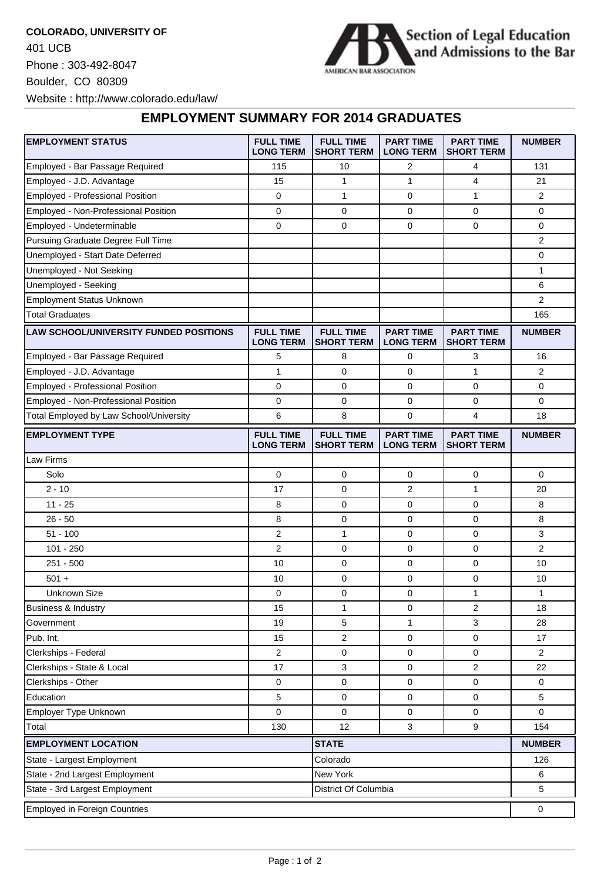**COLORADO, UNIVERSITY OF** 401 UCB Phone : 303-492-8047 Boulder, CO 80309 Website : http://www.colorado.edu/law/



**EMPLOYMENT SUMMARY FOR 2014 GRADUATES**

| <b>EMPLOYMENT STATUS</b>                      | <b>FULL TIME</b><br><b>LONG TERM</b> | <b>FULL TIME</b><br><b>SHORT TERM</b> | <b>PART TIME</b><br><b>LONG TERM</b> | <b>PART TIME</b><br><b>SHORT TERM</b> | <b>NUMBER</b>  |
|-----------------------------------------------|--------------------------------------|---------------------------------------|--------------------------------------|---------------------------------------|----------------|
| Employed - Bar Passage Required               | 115                                  | 10                                    | 2                                    | 4                                     | 131            |
| Employed - J.D. Advantage                     | 15                                   | $\mathbf{1}$                          | $\mathbf{1}$                         | 4                                     | 21             |
| Employed - Professional Position              | 0                                    | $\mathbf{1}$                          | 0                                    | 1                                     | 2              |
| Employed - Non-Professional Position          | 0                                    | 0                                     | 0                                    | 0                                     | 0              |
| Employed - Undeterminable                     | 0                                    | $\mathbf 0$                           | 0                                    | $\mathbf 0$                           | 0              |
| Pursuing Graduate Degree Full Time            |                                      |                                       |                                      |                                       | 2              |
| Unemployed - Start Date Deferred              |                                      |                                       |                                      |                                       | 0              |
| Unemployed - Not Seeking                      |                                      |                                       |                                      |                                       | 1              |
| Unemployed - Seeking                          |                                      |                                       |                                      |                                       | 6              |
| <b>Employment Status Unknown</b>              |                                      |                                       |                                      |                                       | 2              |
| <b>Total Graduates</b>                        |                                      |                                       |                                      |                                       | 165            |
| <b>LAW SCHOOL/UNIVERSITY FUNDED POSITIONS</b> | <b>FULL TIME</b><br><b>LONG TERM</b> | <b>FULL TIME</b><br><b>SHORT TERM</b> | <b>PART TIME</b><br><b>LONG TERM</b> | <b>PART TIME</b><br><b>SHORT TERM</b> | <b>NUMBER</b>  |
| Employed - Bar Passage Required               | 5                                    | 8                                     | 0                                    | 3                                     | 16             |
| Employed - J.D. Advantage                     | $\mathbf{1}$                         | 0                                     | 0                                    | 1                                     | 2              |
| Employed - Professional Position              | 0                                    | $\mathbf 0$                           | 0                                    | $\mathbf 0$                           | 0              |
| Employed - Non-Professional Position          | 0                                    | 0                                     | 0                                    | 0                                     | 0              |
| Total Employed by Law School/University       | 6                                    | 8                                     | 0                                    | 4                                     | 18             |
| <b>EMPLOYMENT TYPE</b>                        | <b>FULL TIME</b><br><b>LONG TERM</b> | <b>FULL TIME</b><br><b>SHORT TERM</b> | <b>PART TIME</b><br><b>LONG TERM</b> | <b>PART TIME</b><br><b>SHORT TERM</b> | <b>NUMBER</b>  |
| Law Firms                                     |                                      |                                       |                                      |                                       |                |
| Solo                                          | 0                                    | 0                                     | 0                                    | 0                                     | $\Omega$       |
| $2 - 10$                                      | 17                                   | $\mathbf 0$                           | $\overline{2}$                       | $\mathbf{1}$                          | 20             |
| $11 - 25$                                     | 8                                    | 0                                     | 0                                    | 0                                     | 8              |
| $26 - 50$                                     | 8                                    | 0                                     | 0                                    | 0                                     | 8              |
| $51 - 100$                                    | 2                                    | 1                                     | 0                                    | 0                                     | 3              |
| $101 - 250$                                   | $\overline{2}$                       | 0                                     | 0                                    | 0                                     | $\overline{2}$ |
| $251 - 500$                                   | 10                                   | 0                                     | 0                                    | 0                                     | 10             |
| $501 +$                                       | 10                                   | 0                                     | 0                                    | 0                                     | 10             |
| <b>Unknown Size</b>                           | 0                                    | 0                                     | 0                                    | 1                                     | $\mathbf{1}$   |
| Business & Industry                           | 15                                   | 1                                     | 0                                    | $\overline{2}$                        | 18             |
| Government                                    | 19                                   | 5                                     | $\mathbf{1}$                         | 3                                     | 28             |
| Pub. Int.                                     | 15                                   | 2                                     | 0                                    | 0                                     | 17             |
| Clerkships - Federal                          | 2                                    | 0                                     | 0                                    | 0                                     | $\overline{2}$ |
| Clerkships - State & Local                    | 17                                   | 3                                     | 0                                    | $\overline{\mathbf{c}}$               | 22             |
| Clerkships - Other                            | 0                                    | 0                                     | 0                                    | 0                                     | 0              |
| Education                                     | 5                                    | 0                                     | 0                                    | 0                                     | 5              |
| Employer Type Unknown                         | $\mathbf 0$                          | $\mathbf 0$                           | 0                                    | 0                                     | 0              |
| Total                                         | 130                                  | 12                                    | 3                                    | $\boldsymbol{9}$                      | 154            |
| <b>EMPLOYMENT LOCATION</b><br><b>STATE</b>    |                                      |                                       |                                      |                                       | <b>NUMBER</b>  |
| State - Largest Employment                    | Colorado                             |                                       |                                      | 126                                   |                |
| State - 2nd Largest Employment                | New York                             |                                       |                                      | 6                                     |                |
| State - 3rd Largest Employment                |                                      | District Of Columbia                  |                                      |                                       | 5              |
| <b>Employed in Foreign Countries</b>          |                                      |                                       |                                      |                                       |                |